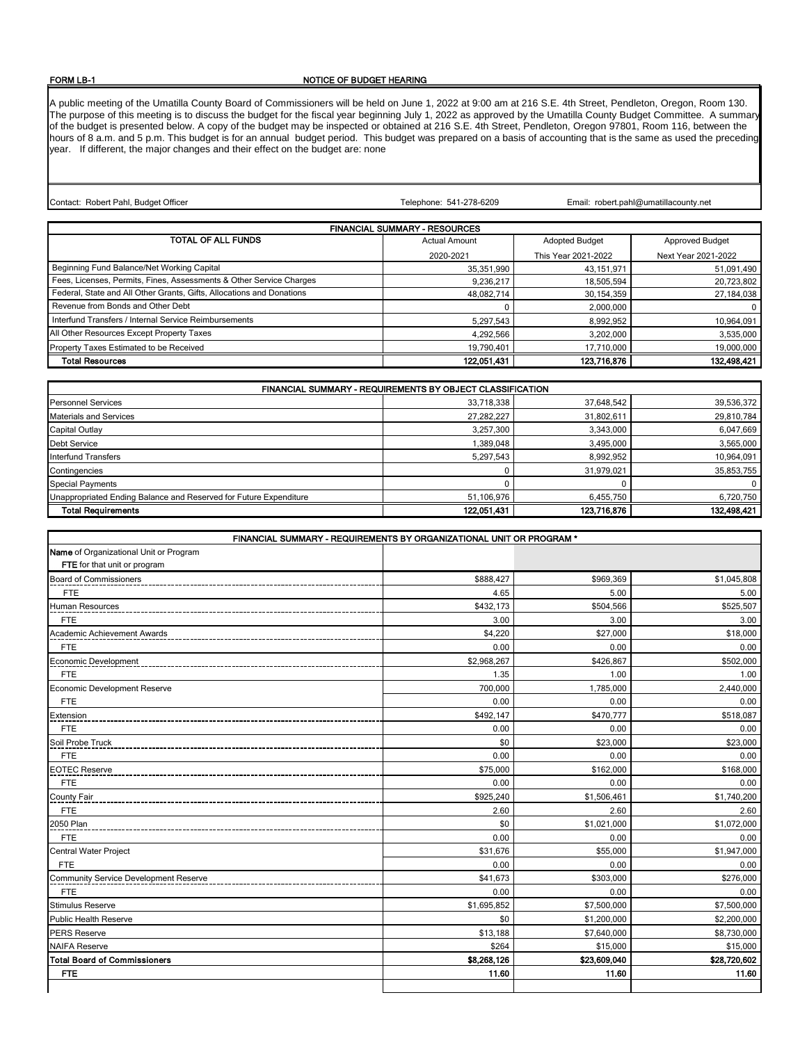## FORM LB-1

## NOTICE OF BUDGET HEARING

A public meeting of the Umatilla County Board of Commissioners will be held on June 1, 2022 at 9:00 am at 216 S.E. 4th Street, Pendleton, Oregon, Room 130. The purpose of this meeting is to discuss the budget for the fiscal year beginning July 1, 2022 as approved by the Umatilla County Budget Committee. A summary of the budget is presented below. A copy of the budget may be inspected or obtained at 216 S.E. 4th Street, Pendleton, Oregon 97801, Room 116, between the hours of 8 a.m. and 5 p.m. This budget is for an annual budget period. This budget was prepared on a basis of accounting that is the same as used the preceding year. If different, the major changes and their effect on the budget are: none

Contact: Robert Pahl, Budget Officer

Telephone: 541-278-6209

Email: robert.pahl@umatillacounty.net

| <b>FINANCIAL SUMMARY - RESOURCES</b>                                  |                      |                       |                        |
|-----------------------------------------------------------------------|----------------------|-----------------------|------------------------|
| TOTAL OF ALL FUNDS                                                    | <b>Actual Amount</b> | <b>Adopted Budget</b> | <b>Approved Budget</b> |
|                                                                       | 2020-2021            | This Year 2021-2022   | Next Year 2021-2022    |
| Beginning Fund Balance/Net Working Capital                            | 35,351,990           | 43,151,971            | 51,091,490             |
| Fees, Licenses, Permits, Fines, Assessments & Other Service Charges   | 9,236,217            | 18,505,594            | 20,723,802             |
| Federal, State and All Other Grants, Gifts, Allocations and Donations | 48.082.714           | 30,154,359            | 27,184,038             |
| Revenue from Bonds and Other Debt                                     |                      | 2,000,000             | $\Omega$               |
| Interfund Transfers / Internal Service Reimbursements                 | 5,297,543            | 8,992,952             | 10,964,091             |
| All Other Resources Except Property Taxes                             | 4,292,566            | 3.202.000             | 3,535,000              |
| Property Taxes Estimated to be Received                               | 19,790,401           | 17,710,000            | 19,000,000             |
| <b>Total Resources</b>                                                | 122,051,431          | 123,716,876           | 132,498,421            |

| FINANCIAL SUMMARY - REQUIREMENTS BY OBJECT CLASSIFICATION         |             |             |             |
|-------------------------------------------------------------------|-------------|-------------|-------------|
| <b>Personnel Services</b>                                         | 33,718,338  | 37,648,542  | 39,536,372  |
| <b>Materials and Services</b>                                     | 27,282,227  | 31,802,611  | 29,810,784  |
| Capital Outlay                                                    | 3,257,300   | 3,343,000   | 6,047,669   |
| <b>Debt Service</b>                                               | 1,389,048   | 3,495,000   | 3,565,000   |
| Interfund Transfers                                               | 5,297,543   | 8,992,952   | 10,964,091  |
| Contingencies                                                     |             | 31.979.021  | 35,853,755  |
| <b>Special Payments</b>                                           |             |             | 0           |
| Unappropriated Ending Balance and Reserved for Future Expenditure | 51,106,976  | 6,455,750   | 6,720,750   |
| <b>Total Requirements</b>                                         | 122,051,431 | 123,716,876 | 132,498,421 |

| FINANCIAL SUMMARY - REQUIREMENTS BY ORGANIZATIONAL UNIT OR PROGRAM * |             |              |              |
|----------------------------------------------------------------------|-------------|--------------|--------------|
| Name of Organizational Unit or Program                               |             |              |              |
| FTE for that unit or program                                         |             |              |              |
| <b>Board of Commissioners</b>                                        | \$888,427   | \$969.369    | \$1,045,808  |
| <b>FTE</b>                                                           | 4.65        | 5.00         | 5.00         |
| Human Resources                                                      | \$432,173   | \$504,566    | \$525,507    |
| <b>FTE</b>                                                           | 3.00        | 3.00         | 3.00         |
| Academic Achievement Awards                                          | \$4,220     | \$27,000     | \$18,000     |
| <b>FTE</b>                                                           | 0.00        | 0.00         | 0.00         |
| Economic Development                                                 | \$2,968,267 | \$426,867    | \$502,000    |
| <b>FTE</b>                                                           | 1.35        | 1.00         | 1.00         |
| Economic Development Reserve                                         | 700,000     | 1,785,000    | 2,440,000    |
| <b>FTE</b>                                                           | 0.00        | 0.00         | 0.00         |
| Extension                                                            | \$492,147   | \$470,777    | \$518,087    |
| <b>FTE</b>                                                           | 0.00        | 0.00         | 0.00         |
| Soil Probe Truck                                                     | \$0         | \$23,000     | \$23,000     |
| <b>FTE</b>                                                           | 0.00        | 0.00         | 0.00         |
| <b>EOTEC Reserve</b>                                                 | \$75,000    | \$162,000    | \$168,000    |
| <b>FTE</b>                                                           | 0.00        | 0.00         | 0.00         |
| County Fair                                                          | \$925,240   | \$1,506,461  | \$1,740,200  |
| <b>FTE</b>                                                           | 2.60        | 2.60         | 2.60         |
| 2050 Plan                                                            | \$0         | \$1,021,000  | \$1,072,000  |
| <b>FTE</b>                                                           | 0.00        | 0.00         | 0.00         |
| Central Water Project                                                | \$31,676    | \$55,000     | \$1,947,000  |
| <b>FTE</b>                                                           | 0.00        | 0.00         | 0.00         |
| Community Service Development Reserve                                | \$41,673    | \$303,000    | \$276,000    |
| <b>FTE</b>                                                           | 0.00        | 0.00         | 0.00         |
| <b>Stimulus Reserve</b>                                              | \$1,695,852 | \$7,500,000  | \$7,500,000  |
| <b>Public Health Reserve</b>                                         | \$0         | \$1,200,000  | \$2,200,000  |
| <b>PERS Reserve</b>                                                  | \$13,188    | \$7,640,000  | \$8,730,000  |
| <b>NAIFA Reserve</b>                                                 | \$264       | \$15,000     | \$15,000     |
| <b>Total Board of Commissioners</b>                                  | \$8,268,126 | \$23,609,040 | \$28,720,602 |
| <b>FTE</b>                                                           | 11.60       | 11.60        | 11.60        |
|                                                                      |             |              |              |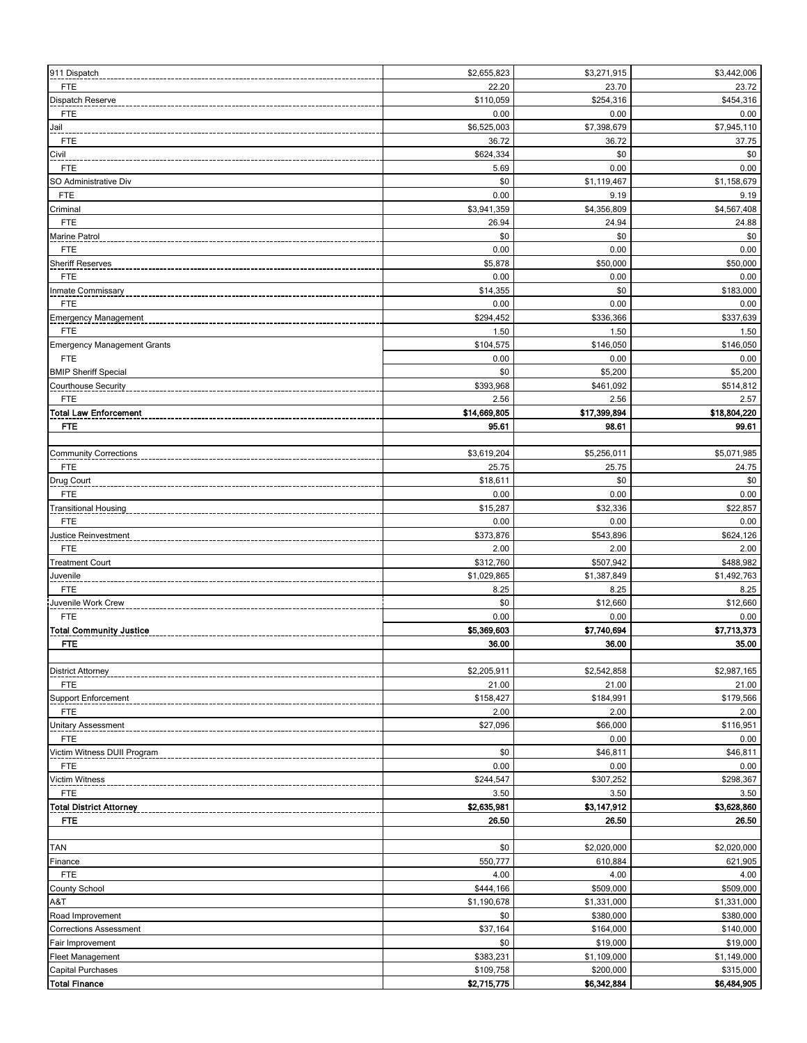| 911 Dispatch                       | \$2,655,823              | \$3,271,915              | \$3,442,006              |
|------------------------------------|--------------------------|--------------------------|--------------------------|
| FTE                                | 22.20                    | 23.70                    | 23.72                    |
|                                    |                          |                          |                          |
| Dispatch Reserve                   | \$110,059                | \$254,316                | \$454,316                |
| <b>FTE</b>                         | 0.00                     | 0.00                     | 0.00                     |
| Jail                               | \$6,525,003              | \$7,398,679              | \$7,945,110              |
| FTE                                | 36.72                    | 36.72                    | 37.75                    |
| Civil                              | \$624,334                | \$0                      | \$0                      |
| <b>FTE</b>                         | 5.69                     | 0.00                     | 0.00                     |
| SO Administrative Div              | \$0                      | \$1,119,467              | \$1,158,679              |
| <b>FTE</b>                         | 0.00                     | 9.19                     | 9.19                     |
| Criminal                           | \$3,941,359              | \$4,356,809              | \$4,567,408              |
|                                    |                          |                          |                          |
| FTE                                | 26.94                    | 24.94                    | 24.88                    |
| Marine Patrol                      | \$0                      | \$0                      | \$0                      |
| <b>FTE</b>                         | 0.00                     | 0.00                     | 0.00                     |
| <b>Sheriff Reserves</b>            | \$5,878                  | \$50,000                 | \$50,000                 |
| <b>FTE</b>                         | 0.00                     | 0.00                     | 0.00                     |
| nmate Commissary                   | \$14,355                 | \$0                      | \$183,000                |
| <b>FTE</b>                         | 0.00                     | 0.00                     | 0.00                     |
| <b>Emergency Management</b>        | \$294,452                | \$336,366                | \$337,639                |
|                                    | 1.50                     | 1.50                     |                          |
| FTE                                |                          |                          | 1.50                     |
| <b>Emergency Management Grants</b> | \$104,575                | \$146,050                | \$146,050                |
| <b>FTE</b>                         | 0.00                     | 0.00                     | 0.00                     |
| <b>BMIP Sheriff Special</b>        | \$0                      | \$5,200                  | \$5,200                  |
| Courthouse Security                | \$393,968                | \$461,092                | \$514,812                |
| <b>FTE</b>                         | 2.56                     | 2.56                     | 2.57                     |
| <b>Total Law Enforcement</b>       | \$14,669,805             | \$17,399,894             | \$18,804,220             |
| <b>FTE</b>                         | 95.61                    | 98.61                    | 99.61                    |
|                                    |                          |                          |                          |
|                                    |                          |                          |                          |
| <b>Community Corrections</b>       | \$3,619,204              | \$5,256,011              | \$5,071,985              |
| FTE                                | 25.75                    | 25.75                    | 24.75                    |
| Drug Court                         | \$18,611                 | \$0                      | \$0                      |
| <b>FTE</b>                         | 0.00                     | 0.00                     | 0.00                     |
| <b>Fransitional Housing</b>        | \$15,287                 | \$32,336                 | \$22,857                 |
| <b>FTE</b>                         | 0.00                     | 0.00                     | 0.00                     |
| Justice Reinvestment               | \$373,876                | \$543,896                | \$624,126                |
| FTE                                | 2.00                     | 2.00                     | 2.00                     |
|                                    |                          |                          |                          |
| <b>Treatment Court</b>             | \$312,760                | \$507,942                | \$488,982                |
| Juvenile                           | \$1,029,865              | \$1,387,849              | \$1,492,763              |
| <b>FTE</b>                         | 8.25                     | 8.25                     | 8.25                     |
| Juvenile Work Crew                 | \$0                      | \$12,660                 | \$12,660                 |
| <b>FTE</b>                         | 0.00                     | 0.00                     | 0.00                     |
| <b>Total Community Justice</b>     | \$5,369,603              | \$7,740,694              | \$7,713,373              |
| FTE                                | 36.00                    | 36.00                    | 35.00                    |
|                                    |                          |                          |                          |
|                                    | \$2,205,911              | \$2,542,858              | \$2,987,165              |
| <b>District Attorney</b>           |                          |                          |                          |
| <b>FTE</b>                         | 21.00                    | 21.00                    | 21.00                    |
| Support Enforcement                | \$158,427                | \$184,991                | \$179,566                |
| FTE                                | 2.00                     | 2.00                     | 2.00                     |
| <b>Jnitary Assessment</b>          | \$27,096                 | \$66,000                 | \$116,951                |
| <b>FTE</b>                         |                          | 0.00                     | 0.00                     |
| Victim Witness DUII Program        | \$0                      | \$46,811                 | \$46,811                 |
| <b>FTE</b>                         | 0.00                     | 0.00                     | 0.00                     |
| Victim Witness                     | \$244,547                | \$307,252                | \$298,367                |
| <b>FTE</b>                         | 3.50                     | 3.50                     | 3.50                     |
|                                    |                          |                          |                          |
| <b>Total District Attorney</b>     | \$2,635,981              | \$3,147,912              | \$3,628,860              |
| FTE.                               | 26.50                    | 26.50                    | 26.50                    |
|                                    |                          |                          |                          |
| TAN                                | \$0                      | \$2,020,000              | \$2,020,000              |
| Finance                            | 550,777                  | 610,884                  | 621,905                  |
| <b>FTE</b>                         | 4.00                     | 4.00                     | 4.00                     |
| <b>County School</b>               | \$444,166                | \$509,000                | \$509,000                |
| A&T                                | \$1,190,678              | \$1,331,000              | \$1,331,000              |
| Road Improvement                   | \$0                      | \$380,000                | \$380,000                |
|                                    |                          |                          |                          |
| <b>Corrections Assessment</b>      | \$37,164                 | \$164,000                | \$140,000                |
| Fair Improvement                   | \$0                      | \$19,000                 | \$19,000                 |
| <b>Fleet Management</b>            | \$383,231                | \$1,109,000              | \$1,149,000              |
|                                    |                          |                          |                          |
| Capital Purchases                  | \$109,758<br>\$2,715,775 | \$200,000<br>\$6,342,884 | \$315,000<br>\$6,484,905 |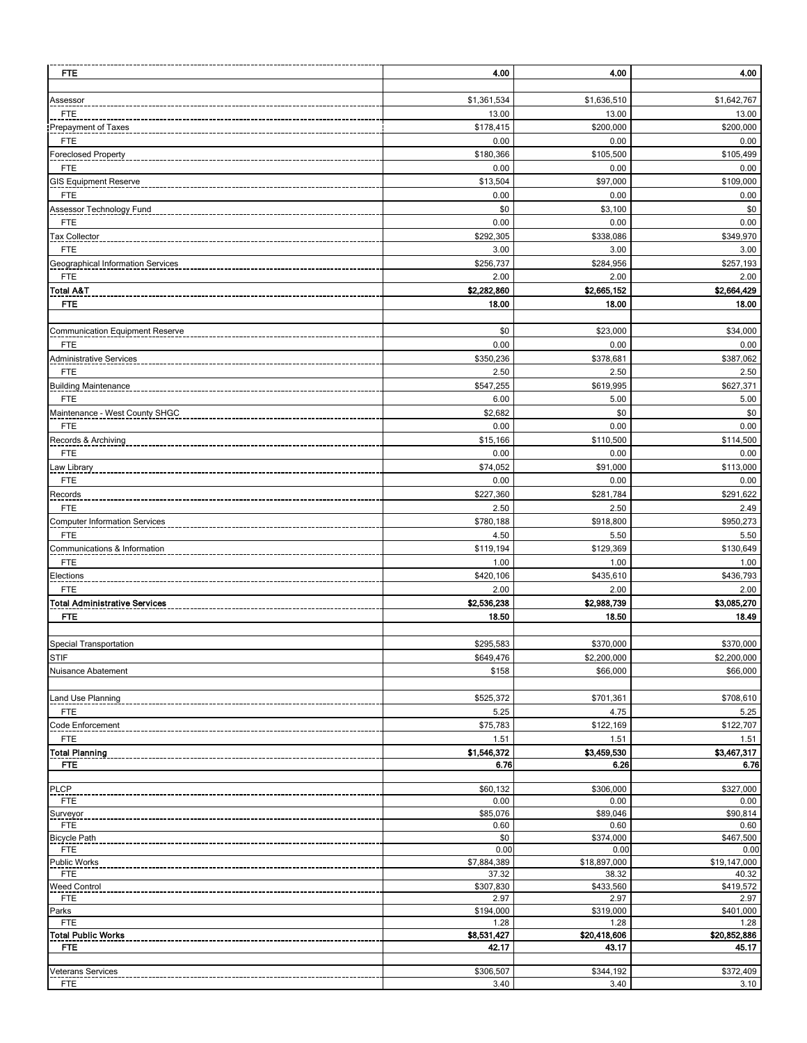| <b>FTE</b>                                 | 4.00                | 4.00                | 4.00                |
|--------------------------------------------|---------------------|---------------------|---------------------|
|                                            | \$1,361,534         | \$1,636,510         | \$1,642,767         |
| <u>Assessor</u><br>FTE                     | 13.00               | 13.00               | 13.00               |
| Prepayment of Taxes                        | \$178,415           | \$200,000           | \$200,000           |
| <b>FTE</b>                                 | 0.00                | 0.00                | 0.00                |
| Foreclosed Property                        | \$180,366           | \$105,500           | \$105,499           |
| FTE                                        | 0.00                | 0.00                | 0.00                |
| GIS Equipment Reserve                      | \$13,504            | \$97,000            | \$109,000           |
| <b>FTE</b>                                 | 0.00                | 0.00                | 0.00                |
| Assessor Technology Fund                   | \$0                 | \$3,100             | \$0                 |
| <b>FTE</b>                                 | 0.00                | 0.00                | 0.00                |
| Tax Collector                              | \$292,305           | \$338,086           | \$349,970           |
| <b>FTE</b>                                 | 3.00                | 3.00                | 3.00                |
| Geographical Information Services          | \$256,737           | \$284,956           | \$257,193           |
| <b>FTE</b>                                 | 2.00<br>\$2,282,860 | 2.00<br>\$2,665,152 | 2.00<br>\$2,664,429 |
| Total A&T<br><b>FTE</b>                    | 18.00               | 18.00               | 18.00               |
|                                            |                     |                     |                     |
| Communication Equipment Reserve            | \$0                 | \$23,000            | \$34,000            |
| FTE                                        | 0.00                | 0.00                | 0.00                |
| Administrative Services                    | \$350,236           | \$378,681           | \$387,062           |
| <b>FTE</b>                                 | 2.50                | 2.50                | 2.50                |
| <b>Building Maintenance</b>                | \$547,255           | \$619,995           | \$627,371           |
| <b>FTE</b>                                 | 6.00                | 5.00                | 5.00                |
| Maintenance - West County SHGC             | \$2,682             | \$0                 | \$0                 |
| <b>FTE</b>                                 | 0.00                | 0.00                | 0.00                |
| Records & Archiving                        | \$15,166            | \$110,500           | \$114,500           |
| <b>FTE</b>                                 | 0.00                | 0.00                | 0.00                |
| Law Library                                | \$74,052            | \$91,000            | \$113,000           |
| FTE                                        | 0.00                | 0.00                | 0.00                |
| Records                                    | \$227,360           | \$281,784           | \$291,622           |
| <b>FTE</b>                                 | 2.50                | 2.50                | 2.49                |
| <b>Computer Information Services</b>       | \$780,188           | \$918,800           | \$950,273           |
| <b>FTE</b><br>Communications & Information | 4.50<br>\$119,194   | 5.50<br>\$129,369   | 5.50<br>\$130,649   |
| <b>FTE</b>                                 | 1.00                | 1.00                | 1.00                |
| Elections                                  | \$420,106           | \$435,610           | \$436,793           |
| <b>FTE</b>                                 | 2.00                | 2.00                | 2.00                |
| Total Administrative Services              | \$2,536,238         | \$2,988,739         | \$3,085,270         |
| <b>FTE</b>                                 | 18.50               | 18.50               | 18.49               |
|                                            |                     |                     |                     |
| Special Transportation                     | \$295,583           | \$370,000           | \$370,000           |
| STIF                                       | \$649,476           | \$2,200,000         | \$2,200,000         |
| Nuisance Abatement                         | \$158               | \$66,000            | \$66,000            |
|                                            |                     |                     |                     |
| Land Use Planning                          | \$525,372           | \$701,361           | \$708,610           |
| <b>FTE</b>                                 | 5.25                | 4.75                | 5.25                |
| Code Enforcement<br><b>FTE</b>             | \$75,783<br>1.51    | \$122,169<br>1.51   | \$122,707<br>1.51   |
| <b>Total Planning</b>                      | \$1,546,372         | \$3,459,530         | \$3,467,317         |
| <b>FTE</b>                                 | 6.76                | 6.26                | 6.76                |
|                                            |                     |                     |                     |
| PLCP                                       | \$60,132            | \$306,000           | \$327,000           |
| FTE                                        | 0.00                | 0.00                | 0.00                |
| Surveyor<br>FTE                            | \$85,076<br>0.60    | \$89,046<br>0.60    | \$90,814<br>0.60    |
| <b>Bicycle Path</b>                        | \$0                 | \$374,000           | \$467,500           |
| <b>FTE</b>                                 | 0.00                | 0.00                | 0.00                |
| <b>Public Works</b>                        | \$7,884,389         | \$18,897,000        | \$19,147,000        |
| FTE                                        | 37.32               | 38.32               | 40.32               |
| Weed Control                               | \$307,830<br>2.97   | \$433,560<br>2.97   | \$419,572<br>2.97   |
| FTE<br>Parks                               | \$194,000           | \$319,000           | \$401,000           |
| <b>FTE</b>                                 | 1.28                | 1.28                | 1.28                |
| Total Public Works                         | \$8,531,427         | \$20,418,606        | \$20,852,886        |
| <b>FTE</b>                                 | 42.17               | 43.17               | 45.17               |
|                                            |                     |                     |                     |
| Veterans Services<br>FTE                   | \$306,507<br>3.40   | \$344,192<br>3.40   | \$372,409<br>3.10   |
|                                            |                     |                     |                     |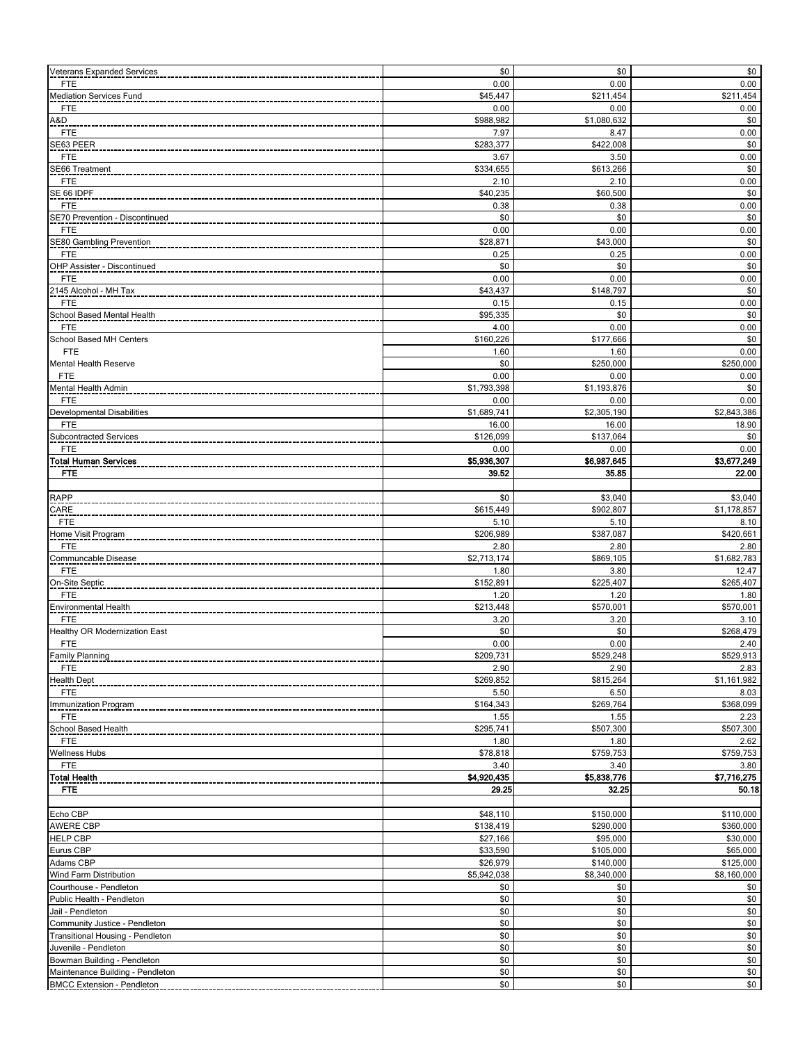| Veterans Expanded Services                                            | \$0                  | \$0                   | \$0                  |
|-----------------------------------------------------------------------|----------------------|-----------------------|----------------------|
| <b>FTE</b>                                                            | 0.00                 | 0.00                  | 0.00                 |
| <b>Mediation Services Fund</b>                                        | \$45,447             | \$211,454             | \$211,454            |
| <b>FTE</b>                                                            | 0.00                 | 0.00                  | 0.00                 |
| A&D<br><b>FTE</b>                                                     | \$988,982<br>7.97    | \$1,080,632<br>8.47   | \$0<br>0.00          |
| SE63 PEER                                                             | \$283,377            | \$422,008             | \$0                  |
| <b>FTE</b>                                                            | 3.67                 | 3.50                  | 0.00                 |
| SE66 Treatment                                                        | \$334,655            | \$613,266             | \$0                  |
| FTE                                                                   | 2.10                 | 2.10                  | 0.00                 |
| SE 66 IDPF                                                            | \$40,235             | \$60,500              | \$0                  |
| <b>FTE</b>                                                            | 0.38<br>\$0          | 0.38                  | 0.00                 |
| SE70 Prevention - Discontinued<br><b>FTE</b>                          | 0.00                 | \$0<br>0.00           | \$0<br>0.00          |
| SE80 Gambling Prevention                                              | \$28,871             | \$43,000              | \$0                  |
| <b>FTE</b>                                                            | 0.25                 | 0.25                  | 0.00                 |
| OHP Assister - Discontinued                                           | \$0                  | \$0                   | \$0                  |
| <b>FTE</b>                                                            | 0.00                 | 0.00                  | 0.00                 |
| 2145 Alcohol - MH Tax                                                 | \$43,437             | \$148,797             | \$0                  |
| <b>FTE</b>                                                            | 0.15                 | 0.15                  | 0.00                 |
| School Based Mental Health<br>FTE                                     | \$95,335<br>4.00     | \$0<br>0.00           | \$0<br>0.00          |
| School Based MH Centers                                               | \$160,226            | \$177,666             | \$0                  |
| <b>FTE</b>                                                            | 1.60                 | 1.60                  | 0.00                 |
| <b>Mental Health Reserve</b>                                          | \$0                  | \$250,000             | \$250,000            |
| <b>FTE</b>                                                            | 0.00                 | 0.00                  | 0.00                 |
| Mental Health Admin                                                   | \$1,793,398          | \$1,193,876           | \$0                  |
| <b>FTE</b>                                                            | 0.00                 | 0.00                  | 0.00                 |
| Developmental Disabilities                                            | \$1,689,741          | \$2,305,190           | \$2,843,386          |
| <b>FTE</b>                                                            | 16.00<br>\$126,099   | 16.00<br>\$137,064    | 18.90<br>\$0         |
| Subcontracted Services<br><b>FTE</b>                                  | 0.00                 | 0.00                  | 0.00                 |
| <b>Total Human Services</b>                                           | \$5,936,307          | \$6,987,645           | \$3,677,249          |
| <b>FTE</b>                                                            | 39.52                | 35.85                 | 22.00                |
|                                                                       |                      |                       |                      |
| <b>RAPP</b>                                                           | \$0                  | \$3,040               | \$3,040              |
| CARE                                                                  | \$615,449            | \$902,807             | \$1,178,857          |
| <b>FTE</b>                                                            | 5.10                 | 5.10                  | 8.10                 |
| Home Visit Program<br><b>FTE</b>                                      | \$206,989<br>2.80    | \$387,087<br>2.80     | \$420,661<br>2.80    |
| Communcable Disease                                                   | \$2,713,174          | \$869,105             | \$1,682,783          |
| <b>FTE</b>                                                            | 1.80                 | 3.80                  | 12.47                |
| On-Site Septic                                                        | \$152,891            | \$225,407             | \$265,407            |
| <b>FTE</b>                                                            | 1.20                 | 1.20                  | 1.80                 |
| Environmental Health                                                  | \$213,448            | \$570,001             | \$570,001            |
| <b>FTE</b>                                                            | 3.20                 | 3.20                  | 3.10                 |
| Healthy OR Modernization East<br><b>FTE</b>                           | \$0<br>0.00          | \$0<br>0.00           | \$268,479<br>2.40    |
| <b>Family Planning</b>                                                | \$209,731            | \$529,248             | \$529,913            |
| <b>FTE</b>                                                            | 2.90                 | 2.90                  | 2.83                 |
| <b>Health Dept</b>                                                    | \$269,852            | \$815,264             | \$1,161,982          |
| <b>FTE</b>                                                            | 5.50                 | 6.50                  | 8.03                 |
| Immunization Program                                                  | \$164,343            | \$269,764             | \$368,099            |
| <b>FTE</b>                                                            | 1.55                 | 1.55                  | 2.23                 |
| School Based Health                                                   | \$295,741            | \$507,300             | \$507,300            |
| <b>FTE</b><br>Wellness Hubs                                           | 1.80<br>\$78,818     | 1.80<br>\$759,753     | 2.62<br>\$759,753    |
| <b>FTE</b>                                                            | 3.40                 | 3.40                  | 3.80                 |
| <b>Total Health</b>                                                   | \$4,920,435          | \$5,838,776           | \$7,716,275          |
| FTE                                                                   | 29.25                | 32.25                 | 50.18                |
|                                                                       |                      |                       |                      |
| Echo CBP                                                              | \$48,110             | \$150,000             | \$110,000            |
| <b>AWERE CBP</b>                                                      | \$138,419            | \$290,000             | \$360,000            |
| <b>HELP CBP</b><br>Eurus CBP                                          | \$27,166<br>\$33,590 | \$95,000<br>\$105,000 | \$30,000<br>\$65,000 |
| Adams CBP                                                             | \$26,979             | \$140,000             | \$125,000            |
| Wind Farm Distribution                                                | \$5,942,038          | \$8,340,000           | \$8,160,000          |
| Courthouse - Pendleton                                                | \$0                  | \$0                   | \$0                  |
| Public Health - Pendleton                                             | \$0                  | \$0                   | $$0\,$               |
| Jail - Pendleton                                                      | \$0                  | \$0                   | \$0                  |
| Community Justice - Pendleton                                         | \$0                  | \$0                   | $$0\,$               |
| Transitional Housing - Pendleton                                      | \$0                  | \$0                   | $\$0$                |
|                                                                       |                      |                       |                      |
| Juvenile - Pendleton                                                  | \$0                  | \$0                   | \$0                  |
| Bowman Building - Pendleton                                           | \$0                  | \$0                   | $\$0$                |
| Maintenance Building - Pendleton<br><b>BMCC Extension - Pendleton</b> | \$0<br>\$0           | \$0<br>\$0            | $$0$$<br>\$0         |